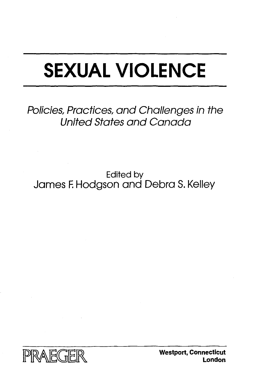## **SEXUAL VIOLENCE**

Policies, Practices, and Challenges in the United States and Canada

Edited by James F. Hodgson and Debra S. Kelley



**Westport, Connecticut London**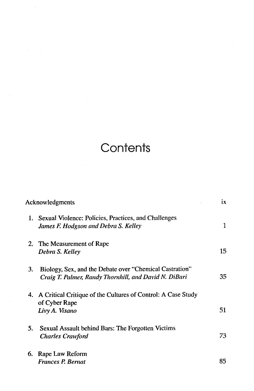## **Contents**

|    | Acknowledgments                                                                                                  |    |
|----|------------------------------------------------------------------------------------------------------------------|----|
|    | 1. Sexual Violence: Policies, Practices, and Challenges<br>James F. Hodgson and Debra S. Kelley                  | 1  |
|    | 2. The Measurement of Rape<br>Debra S. Kelley                                                                    | 15 |
| 3. | Biology, Sex, and the Debate over "Chemical Castration"<br>Craig T. Palmer, Randy Thornhill, and David N. DiBari | 35 |
|    | 4. A Critical Critique of the Cultures of Control: A Case Study<br>of Cyber Rape<br>Livy A. Visano               | 51 |
| 5. | Sexual Assault behind Bars: The Forgotten Victims<br><b>Charles Crawford</b>                                     | 73 |
| 6. | Rape Law Reform<br><b>Frances P. Bernat</b>                                                                      | 85 |